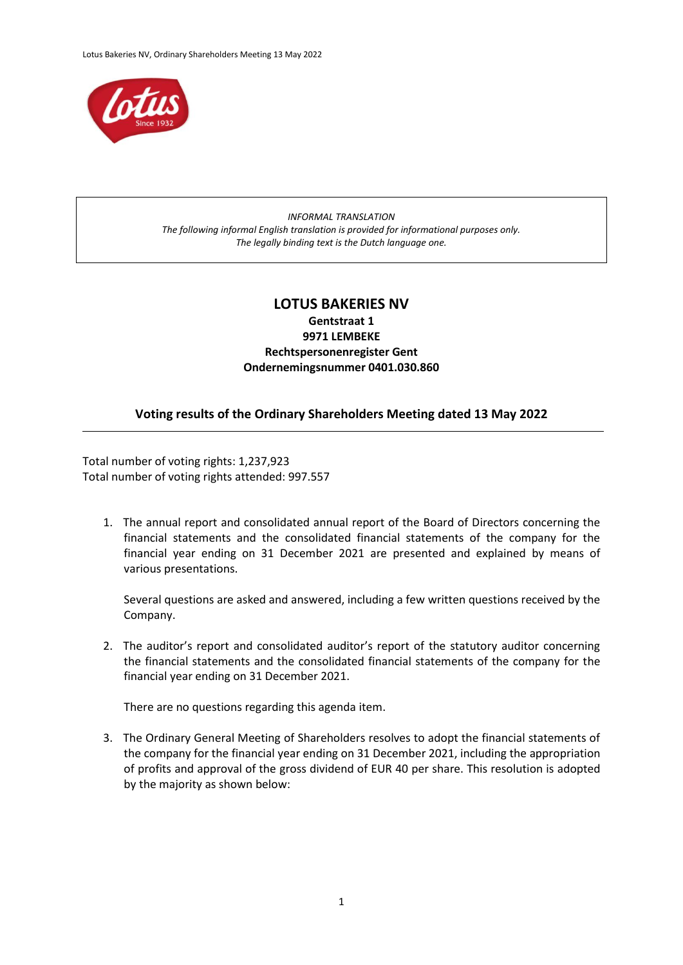

## *INFORMAL TRANSLATION The following informal English translation is provided for informational purposes only. The legally binding text is the Dutch language one.*

## **LOTUS BAKERIES NV Gentstraat 1 9971 LEMBEKE Rechtspersonenregister Gent Ondernemingsnummer 0401.030.860**

## **Voting results of the Ordinary Shareholders Meeting dated 13 May 2022**

Total number of voting rights: 1,237,923 Total number of voting rights attended: 997.557

1. The annual report and consolidated annual report of the Board of Directors concerning the financial statements and the consolidated financial statements of the company for the financial year ending on 31 December 2021 are presented and explained by means of various presentations.

Several questions are asked and answered, including a few written questions received by the Company.

2. The auditor's report and consolidated auditor's report of the statutory auditor concerning the financial statements and the consolidated financial statements of the company for the financial year ending on 31 December 2021.

There are no questions regarding this agenda item.

3. The Ordinary General Meeting of Shareholders resolves to adopt the financial statements of the company for the financial year ending on 31 December 2021, including the appropriation of profits and approval of the gross dividend of EUR 40 per share. This resolution is adopted by the majority as shown below: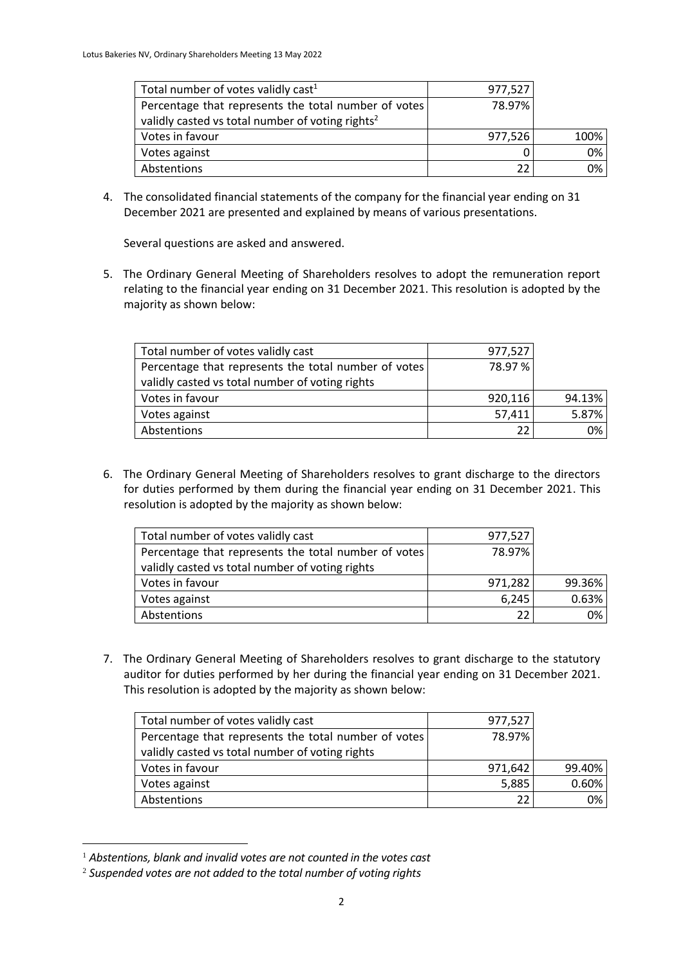| Total number of votes validly cast <sup>1</sup>              | 977,527 |      |
|--------------------------------------------------------------|---------|------|
| Percentage that represents the total number of votes         | 78.97%  |      |
| validly casted vs total number of voting rights <sup>2</sup> |         |      |
| Votes in favour                                              | 977,526 | 100% |
| Votes against                                                |         | 0%   |
| Abstentions                                                  |         | 0%   |

4. The consolidated financial statements of the company for the financial year ending on 31 December 2021 are presented and explained by means of various presentations.

Several questions are asked and answered.

5. The Ordinary General Meeting of Shareholders resolves to adopt the remuneration report relating to the financial year ending on 31 December 2021. This resolution is adopted by the majority as shown below:

| Total number of votes validly cast                   | 977,527 |        |
|------------------------------------------------------|---------|--------|
| Percentage that represents the total number of votes | 78.97%  |        |
| validly casted vs total number of voting rights      |         |        |
| Votes in favour                                      | 920,116 | 94.13% |
| Votes against                                        | 57,411  | 5.87%  |
| Abstentions                                          | 22      | 0%     |

6. The Ordinary General Meeting of Shareholders resolves to grant discharge to the directors for duties performed by them during the financial year ending on 31 December 2021. This resolution is adopted by the majority as shown below:

| Total number of votes validly cast                   | 977,527 |        |
|------------------------------------------------------|---------|--------|
| Percentage that represents the total number of votes | 78.97%  |        |
| validly casted vs total number of voting rights      |         |        |
| Votes in favour                                      | 971,282 | 99.36% |
| Votes against                                        | 6,245   | 0.63%  |
| Abstentions                                          | 22      | 0%     |

7. The Ordinary General Meeting of Shareholders resolves to grant discharge to the statutory auditor for duties performed by her during the financial year ending on 31 December 2021. This resolution is adopted by the majority as shown below:

| Total number of votes validly cast                   | 977,527 |        |
|------------------------------------------------------|---------|--------|
| Percentage that represents the total number of votes | 78.97%  |        |
| validly casted vs total number of voting rights      |         |        |
| Votes in favour                                      | 971,642 | 99.40% |
| Votes against                                        | 5,885   | 0.60%  |
| Abstentions                                          | 22      | $0\%$  |

<sup>1</sup> *Abstentions, blank and invalid votes are not counted in the votes cast*

<sup>2</sup> *Suspended votes are not added to the total number of voting rights*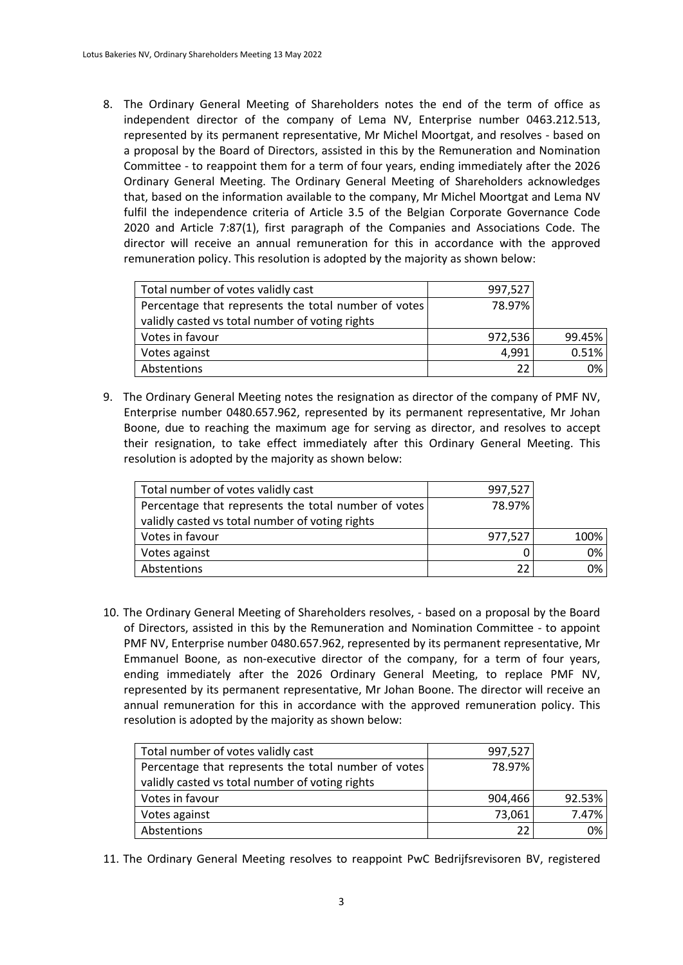8. The Ordinary General Meeting of Shareholders notes the end of the term of office as independent director of the company of Lema NV, Enterprise number 0463.212.513, represented by its permanent representative, Mr Michel Moortgat, and resolves - based on a proposal by the Board of Directors, assisted in this by the Remuneration and Nomination Committee - to reappoint them for a term of four years, ending immediately after the 2026 Ordinary General Meeting. The Ordinary General Meeting of Shareholders acknowledges that, based on the information available to the company, Mr Michel Moortgat and Lema NV fulfil the independence criteria of Article 3.5 of the Belgian Corporate Governance Code 2020 and Article 7:87(1), first paragraph of the Companies and Associations Code. The director will receive an annual remuneration for this in accordance with the approved remuneration policy. This resolution is adopted by the majority as shown below:

| Total number of votes validly cast                   | 997,527 |        |
|------------------------------------------------------|---------|--------|
| Percentage that represents the total number of votes | 78.97%  |        |
| validly casted vs total number of voting rights      |         |        |
| Votes in favour                                      | 972,536 | 99.45% |
| Votes against                                        | 4,991   | 0.51%  |
| Abstentions                                          | 22      | 0%     |

9. The Ordinary General Meeting notes the resignation as director of the company of PMF NV, Enterprise number 0480.657.962, represented by its permanent representative, Mr Johan Boone, due to reaching the maximum age for serving as director, and resolves to accept their resignation, to take effect immediately after this Ordinary General Meeting. This resolution is adopted by the majority as shown below:

| Total number of votes validly cast                   | 997,527 |       |
|------------------------------------------------------|---------|-------|
| Percentage that represents the total number of votes | 78.97%  |       |
| validly casted vs total number of voting rights      |         |       |
| Votes in favour                                      | 977,527 | 100%  |
| Votes against                                        |         | $0\%$ |
| Abstentions                                          | 22      | $0\%$ |

10. The Ordinary General Meeting of Shareholders resolves, - based on a proposal by the Board of Directors, assisted in this by the Remuneration and Nomination Committee - to appoint PMF NV, Enterprise number 0480.657.962, represented by its permanent representative, Mr Emmanuel Boone, as non-executive director of the company, for a term of four years, ending immediately after the 2026 Ordinary General Meeting, to replace PMF NV, represented by its permanent representative, Mr Johan Boone. The director will receive an annual remuneration for this in accordance with the approved remuneration policy. This resolution is adopted by the majority as shown below:

| Total number of votes validly cast                   | 997,527 |        |
|------------------------------------------------------|---------|--------|
| Percentage that represents the total number of votes | 78.97%  |        |
| validly casted vs total number of voting rights      |         |        |
| Votes in favour                                      | 904,466 | 92.53% |
| Votes against                                        | 73,061  | 7.47%  |
| Abstentions                                          | 22      | 0%     |

11. The Ordinary General Meeting resolves to reappoint PwC Bedrijfsrevisoren BV, registered